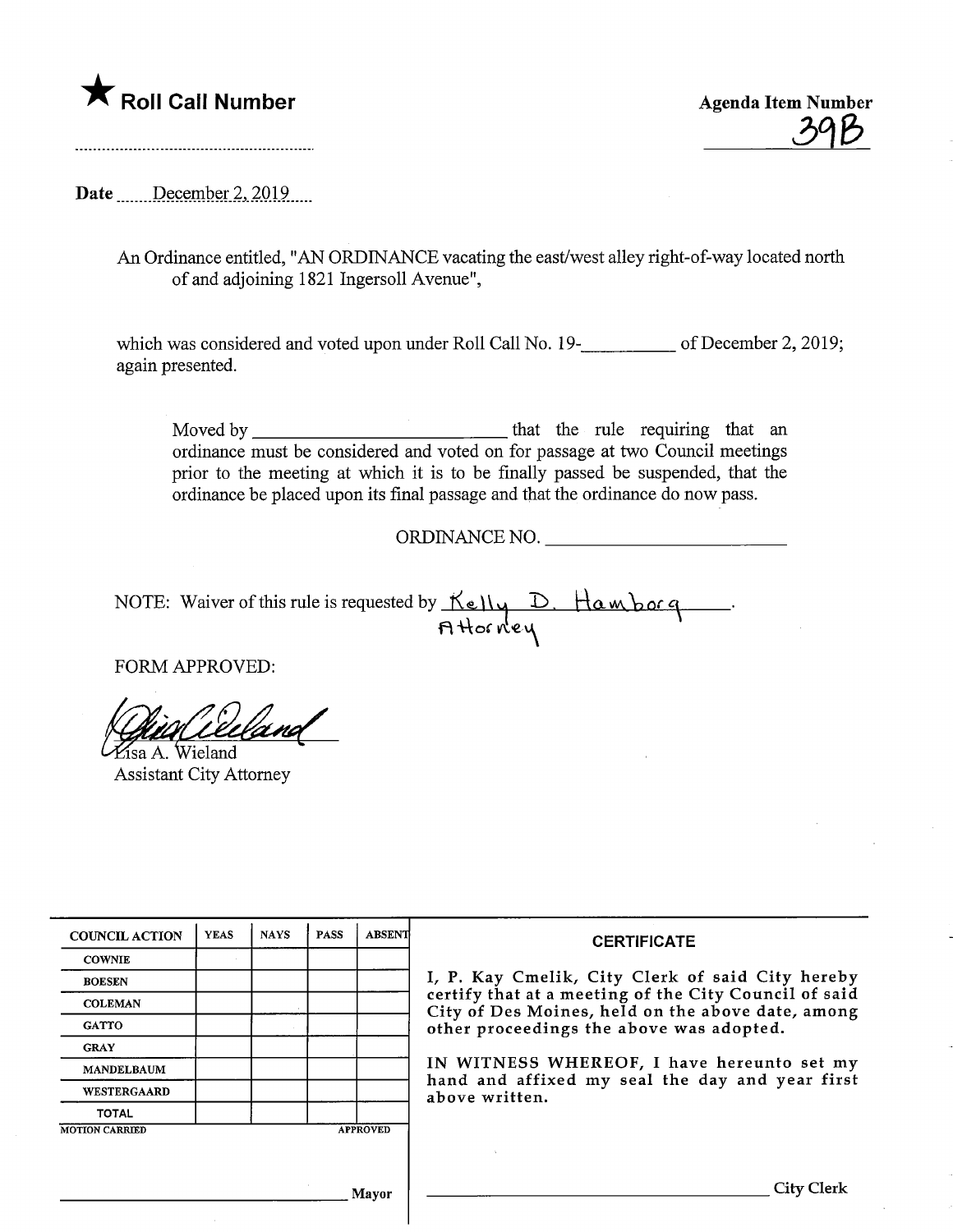Roll Call Number<br>
Agenda Item Number<br>
298

Date December 2,  $2019$ ....

An Ordinance entitled, "AN ORDINANCE vacating the east/west alley right-of-way located north of and adjoining 1821 Ingersoll Avenue",

which was considered and voted upon under Roll Call No. 19-**\_\_\_\_\_\_\_\_\_** of December 2, 2019; again presented.

Moved by that the rule requiring that an ordinance must be considered and voted on for passage at two Council meetings prior to the meeting at which it is to be finally passed be suspended, that the ordinance be placed upon its final passage and that the ordinance do now pass.

ORDINANCE NO.

NOTE: Waiver of this rule is requested by  $\mathcal{K}$ elly  $\mathcal{D}$ . Ham both  $\boldsymbol{\mathsf{H}}$  Hor ne

FORM APPROVED:

^Tsa A. Wieland

Assistant City Attorney

| <b>COUNCIL ACTION</b> | <b>YEAS</b> | <b>NAYS</b> | <b>PASS</b> | <b>ABSENT</b>   | <b>CERTIFICATE</b>                                                                                                                                                                                                                                                                                                            |
|-----------------------|-------------|-------------|-------------|-----------------|-------------------------------------------------------------------------------------------------------------------------------------------------------------------------------------------------------------------------------------------------------------------------------------------------------------------------------|
| <b>COWNIE</b>         |             |             |             |                 |                                                                                                                                                                                                                                                                                                                               |
| <b>BOESEN</b>         |             |             |             |                 | I, P. Kay Cmelik, City Clerk of said City hereby<br>certify that at a meeting of the City Council of said<br>City of Des Moines, held on the above date, among<br>other proceedings the above was adopted.<br>IN WITNESS WHEREOF, I have hereunto set my<br>hand and affixed my seal the day and year first<br>above written. |
| <b>COLEMAN</b>        |             |             |             |                 |                                                                                                                                                                                                                                                                                                                               |
| <b>GATTO</b>          |             |             |             |                 |                                                                                                                                                                                                                                                                                                                               |
| <b>GRAY</b>           |             |             |             |                 |                                                                                                                                                                                                                                                                                                                               |
| <b>MANDELBAUM</b>     |             |             |             |                 |                                                                                                                                                                                                                                                                                                                               |
| WESTERGAARD           |             |             |             |                 |                                                                                                                                                                                                                                                                                                                               |
| <b>TOTAL</b>          |             |             |             |                 |                                                                                                                                                                                                                                                                                                                               |
| <b>MOTION CARRIED</b> |             |             |             | <b>APPROVED</b> |                                                                                                                                                                                                                                                                                                                               |
|                       |             |             |             |                 |                                                                                                                                                                                                                                                                                                                               |
|                       |             |             |             | Mavor           | City Clerk                                                                                                                                                                                                                                                                                                                    |